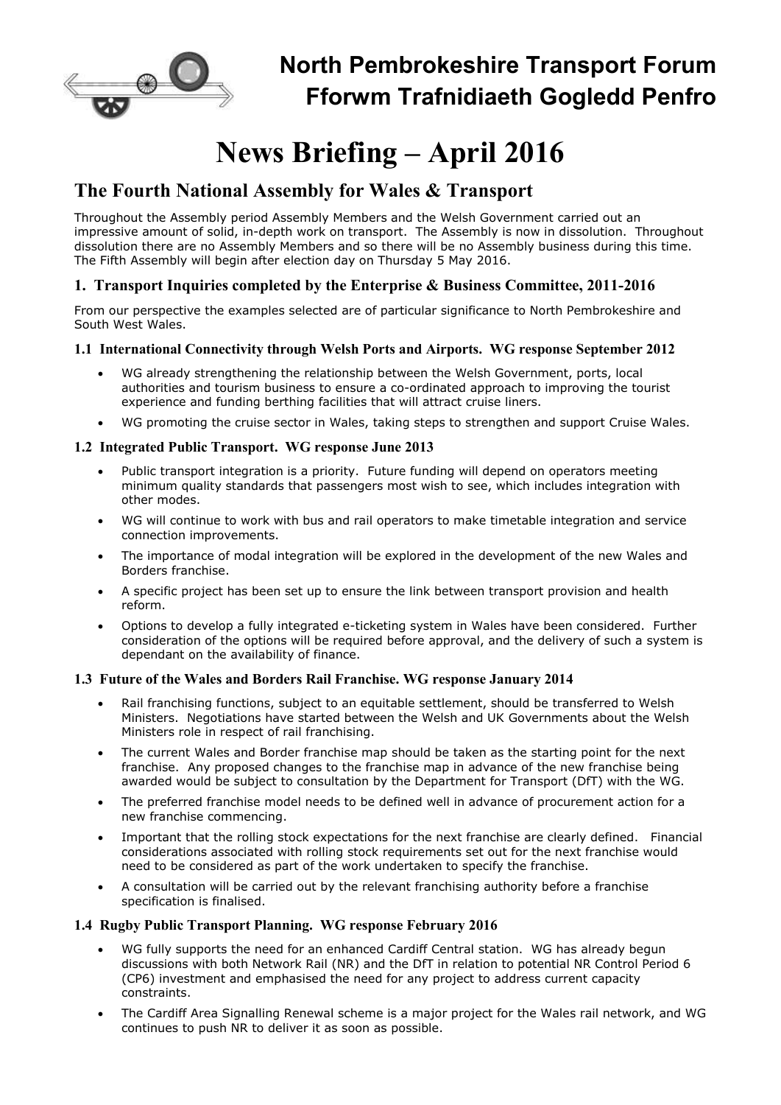

## **North Pembrokeshire Transport Forum Fforwm Trafnidiaeth Gogledd Penfro**

# **News Briefing – April 2016**

## **The Fourth National Assembly for Wales & Transport**

Throughout the Assembly period Assembly Members and the Welsh Government carried out an impressive amount of solid, in-depth work on transport. The Assembly is now in dissolution. Throughout dissolution there are no Assembly Members and so there will be no Assembly business during this time. The Fifth Assembly will begin after election day on Thursday 5 May 2016.

#### **1. Transport Inquiries completed by the Enterprise & Business Committee, 2011-2016**

From our perspective the examples selected are of particular significance to North Pembrokeshire and South West Wales.

#### **1.1 International Connectivity through Welsh Ports and Airports. WG response September 2012**

- WG already strengthening the relationship between the Welsh Government, ports, local authorities and tourism business to ensure a co-ordinated approach to improving the tourist experience and funding berthing facilities that will attract cruise liners.
- WG promoting the cruise sector in Wales, taking steps to strengthen and support Cruise Wales.

#### **1.2 Integrated Public Transport. WG response June 2013**

- Public transport integration is a priority. Future funding will depend on operators meeting minimum quality standards that passengers most wish to see, which includes integration with other modes.
- WG will continue to work with bus and rail operators to make timetable integration and service connection improvements.
- The importance of modal integration will be explored in the development of the new Wales and Borders franchise.
- A specific project has been set up to ensure the link between transport provision and health reform.
- Options to develop a fully integrated e-ticketing system in Wales have been considered. Further consideration of the options will be required before approval, and the delivery of such a system is dependant on the availability of finance.

#### **1.3 Future of the Wales and Borders Rail Franchise. WG response January 2014**

- Rail franchising functions, subject to an equitable settlement, should be transferred to Welsh Ministers. Negotiations have started between the Welsh and UK Governments about the Welsh Ministers role in respect of rail franchising.
- The current Wales and Border franchise map should be taken as the starting point for the next franchise. Any proposed changes to the franchise map in advance of the new franchise being awarded would be subject to consultation by the Department for Transport (DfT) with the WG.
- The preferred franchise model needs to be defined well in advance of procurement action for a new franchise commencing.
- Important that the rolling stock expectations for the next franchise are clearly defined. Financial considerations associated with rolling stock requirements set out for the next franchise would need to be considered as part of the work undertaken to specify the franchise.
- A consultation will be carried out by the relevant franchising authority before a franchise specification is finalised.

#### **1.4 Rugby Public Transport Planning. WG response February 2016**

- WG fully supports the need for an enhanced Cardiff Central station. WG has already begun discussions with both Network Rail (NR) and the DfT in relation to potential NR Control Period 6 (CP6) investment and emphasised the need for any project to address current capacity constraints.
- The Cardiff Area Signalling Renewal scheme is a major project for the Wales rail network, and WG continues to push NR to deliver it as soon as possible.